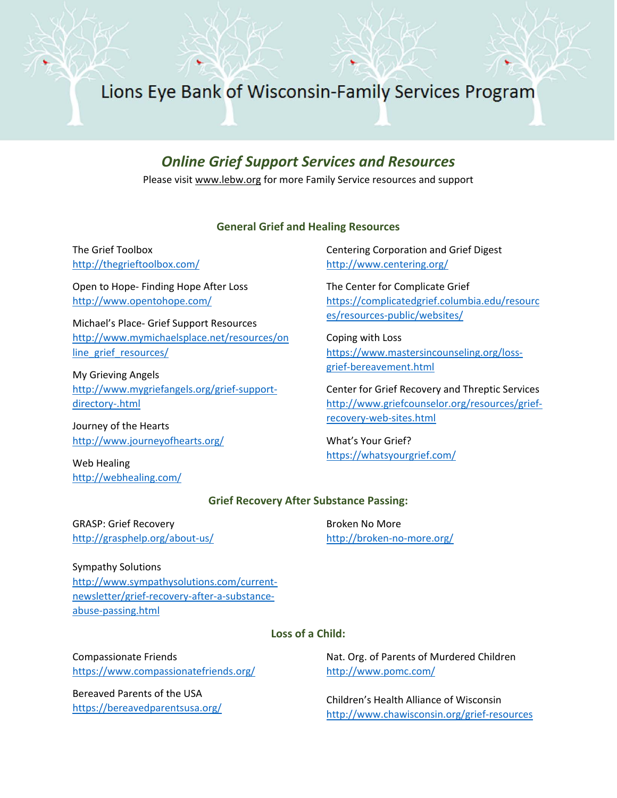Lions Eye Bank of Wisconsin-Family Services Program

# *Online Grief Support Services and Resources*

Please visi[t www.lebw.org](http://www.lebw.org/) for more Family Service resources and support

## **General Grief and Healing Resources**

The Grief Toolbox <http://thegrieftoolbox.com/>

Open to Hope- Finding Hope After Loss <http://www.opentohope.com/>

Michael's Place- Grief Support Resources [http://www.mymichaelsplace.net/resources/on](http://www.mymichaelsplace.net/resources/online_grief_resources/) [line\\_grief\\_resources/](http://www.mymichaelsplace.net/resources/online_grief_resources/)

My Grieving Angels [http://www.mygriefangels.org/grief-support](http://www.mygriefangels.org/grief-support-directory-.html)[directory-.html](http://www.mygriefangels.org/grief-support-directory-.html)

Journey of the Hearts <http://www.journeyofhearts.org/>

Web Healing <http://webhealing.com/> Centering Corporation and Grief Digest <http://www.centering.org/>

The Center for Complicate Grief [https://complicatedgrief.columbia.edu/resourc](https://complicatedgrief.columbia.edu/resources/resources-public/websites/) [es/resources-public/websites/](https://complicatedgrief.columbia.edu/resources/resources-public/websites/)

Coping with Loss [https://www.mastersincounseling.org/loss](https://www.mastersincounseling.org/loss-grief-bereavement.html)[grief-bereavement.html](https://www.mastersincounseling.org/loss-grief-bereavement.html)

Center for Grief Recovery and Threptic Services [http://www.griefcounselor.org/resources/grief](http://www.griefcounselor.org/resources/grief-recovery-web-sites.html)[recovery-web-sites.html](http://www.griefcounselor.org/resources/grief-recovery-web-sites.html)

What's Your Grief? <https://whatsyourgrief.com/>

#### **Grief Recovery After Substance Passing:**

GRASP: Grief Recovery <http://grasphelp.org/about-us/> Broken No More <http://broken-no-more.org/>

Sympathy Solutions [http://www.sympathysolutions.com/current](http://www.sympathysolutions.com/current-newsletter/grief-recovery-after-a-substance-abuse-passing.html)[newsletter/grief-recovery-after-a-substance](http://www.sympathysolutions.com/current-newsletter/grief-recovery-after-a-substance-abuse-passing.html)[abuse-passing.html](http://www.sympathysolutions.com/current-newsletter/grief-recovery-after-a-substance-abuse-passing.html)

#### **Loss of a Child:**

Compassionate Friends <https://www.compassionatefriends.org/>

Bereaved Parents of the USA <https://bereavedparentsusa.org/> Nat. Org. of Parents of Murdered Children <http://www.pomc.com/>

Children's Health Alliance of Wisconsin <http://www.chawisconsin.org/grief-resources>